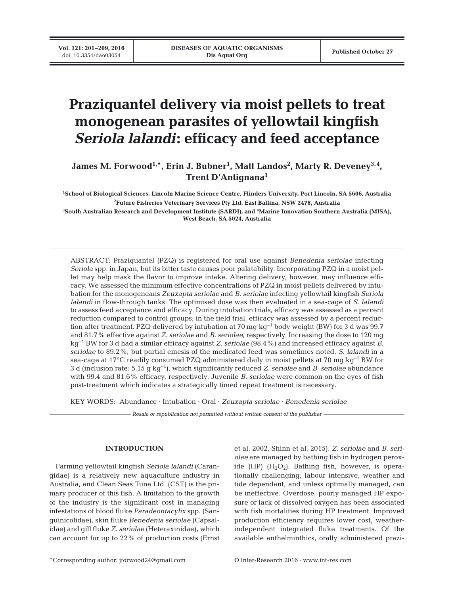# **Praziquantel delivery via moist pellets to treat monogenean parasites of yellowtail kingfish** *Seriola lalandi***: efficacy and feed acceptance**

James M. Forwood<sup>1,\*</sup>, Erin J. Bubner<sup>1</sup>, Matt Landos<sup>2</sup>, Marty R. Deveney<sup>3,4</sup>, **Trent D'Antignana1**

**1 School of Biological Sciences, Lincoln Marine Science Centre, Flinders University, Port Lincoln, SA 5606, Australia 2 Future Fisheries Veterinary Services Pty Ltd, East Ballina, NSW 2478, Australia 3 South Australian Research and Development Institute (SARDI), and 4 Marine Innovation Southern Australia (MISA),** 

**West Beach, SA 5024, Australia**

ABSTRACT: Praziquantel (PZQ) is registered for oral use against *Benedenia seriolae* infecting *Seriola* spp. in Japan, but its bitter taste causes poor palatability. Incorporating PZQ in a moist pellet may help mask the flavor to improve intake. Altering delivery, however, may influence efficacy. We assessed the minimum effective concentrations of PZQ in moist pellets delivered by intubation for the monogeneans *Zeuxapta seriolae* and *B. seriolae* infecting yellowtail kingfish *Seriola lalandi* in flow-through tanks. The optimised dose was then evaluated in a sea-cage of *S. lalandi* to assess feed acceptance and efficacy. During intubation trials, efficacy was assessed as a percent reduction compared to control groups; in the field trial, efficacy was assessed by a percent reduction after treatment. PZQ delivered by intubation at 70 mg kg−1 body weight (BW) for 3 d was 99.7 and 81.7% effective against *Z. seriolae* and *B. seriolae*, respectively. Increasing the dose to 120 mg kg−1 BW for 3 d had a similar efficacy against *Z. seriolae* (98.4%) and increased efficacy against *B. seriolae* to 89.2%, but partial emesis of the medicated feed was sometimes noted. *S. lalandi* in a sea-cage at 17°C readily consumed PZQ administered daily in moist pellets at 70 mg kg<sup>-1</sup> BW for 3 d (inclusion rate: 5.15 g kg−1), which significantly reduced *Z. seriolae* and *B. seriolae* abundance with 99.4 and 81.6% efficacy, respectively. Juvenile *B. seriolae* were common on the eyes of fish post-treatment which indicates a strategically timed repeat treatment is necessary.

KEY WORDS: Abundance · Intubation · Oral · *Zeuxapta seriolae* · *Benedenia seriolae*

*Resale or republication not permitted without written consent of the publisher*

# **INTRODUCTION**

Farming yellowtail kingfish *Seriola lalandi* (Caran gidae) is a relatively new aquaculture industry in Australia, and Clean Seas Tuna Ltd. (CST) is the primary producer of this fish. A limitation to the growth of the industry is the significant cost in managing infestations of blood fluke *Paradeontacylix* spp. (Sanguinicolidae), skin fluke *Benedenia seriolae* (Capsalidae) and gill fluke *Z. seriolae* (Heteraxinidae), which can account for up to 22% of production costs (Ernst et al. 2002, Shinn et al. 2015). *Z. seriolae* and *B. seriolae* are managed by bathing fish in hydrogen peroxide (HP)  $(H_2O_2)$ . Bathing fish, however, is operationally challenging, labour intensive, weather and tide dependant, and unless optimally managed, can be ineffective. Overdose, poorly managed HP exposure or lack of dissolved oxygen has been associated with fish mortalities during HP treatment. Improved production efficiency requires lower cost, weatherindependent integrated fluke treatments. Of the available anthelminthics, orally administered prazi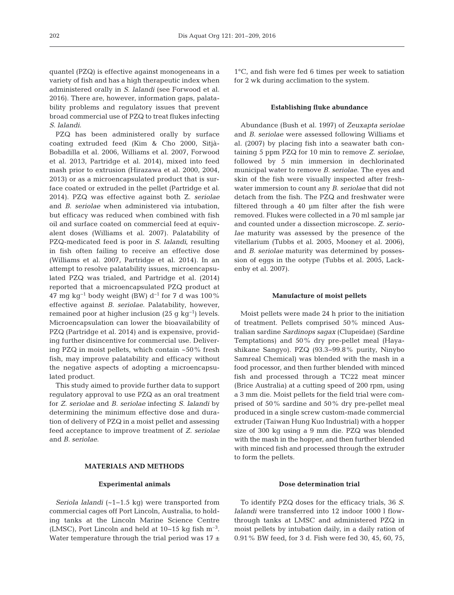quantel (PZQ) is effective against monogeneans in a variety of fish and has a high therapeutic index when administered orally in *S. lalandi* (see Forwood et al. 2016). There are, however, information gaps, palatability problems and regulatory issues that prevent broad commercial use of PZQ to treat flukes infecting *S. lalandi*.

PZQ has been administered orally by surface coating extruded feed (Kim & Cho 2000, Sitjà-Bobadilla et al. 2006, Williams et al. 2007, Forwood et al. 2013, Partridge et al. 2014), mixed into feed mash prior to extrusion (Hirazawa et al. 2000, 2004, 2013) or as a microencapsulated product that is surface coated or extruded in the pellet (Partridge et al. 2014). PZQ was effective against both Z. *seriolae* and *B. seriolae* when administered via intubation, but efficacy was reduced when combined with fish oil and surface coated on commercial feed at equivalent doses (Williams et al. 2007). Palatability of PZQ-medicated feed is poor in *S. lalandi*, resulting in fish often failing to receive an effective dose (Williams et al. 2007, Partridge et al. 2014). In an attempt to resolve palatability issues, microencapsulated PZQ was trialed, and Partridge et al. (2014) reported that a microencapsulated PZQ product at 47 mg kg<sup>-1</sup> body weight (BW) d<sup>-1</sup> for 7 d was 100% effective against *B. seriolae*. Palatability, however, remained poor at higher inclusion (25 g kg<sup>-1</sup>) levels. Microencapsulation can lower the bioavailability of PZQ (Partridge et al. 2014) and is expensive, providing further disincentive for commercial use. Delivering PZQ in moist pellets, which contain ~50% fresh fish, may improve palatability and efficacy without the negative aspects of adopting a microencapsulated product.

This study aimed to provide further data to support regulatory approval to use PZQ as an oral treatment for *Z. seriolae* and *B. seriolae* infecting *S. lalandi* by determining the minimum effective dose and duration of delivery of PZQ in a moist pellet and assessing feed acceptance to improve treatment of *Z. seriolae* and *B. seriolae*.

## **MATERIALS AND METHODS**

#### **Experimental animals**

*Seriola lalandi* (~1−1.5 kg) were transported from commercial cages off Port Lincoln, Australia, to holding tanks at the Lincoln Marine Science Centre (LMSC), Port Lincoln and held at 10−15 kg fish m–3. Water temperature through the trial period was  $17 \pm$ 

1°C, and fish were fed 6 times per week to satiation for 2 wk during acclimation to the system.

#### **Establishing fluke abundance**

Abundance (Bush et al. 1997) of *Zeuxapta seriolae* and *B. seriolae* were assessed following Williams et al. (2007) by placing fish into a seawater bath containing 5 ppm PZQ for 10 min to remove *Z. seriolae*, followed by 5 min immersion in dechlorinated municipal water to remove *B. seriolae*. The eyes and skin of the fish were visually inspected after freshwater immersion to count any *B. seriolae* that did not detach from the fish. The PZQ and freshwater were filtered through a 40 µm filter after the fish were removed. Flukes were collected in a 70 ml sample jar and counted under a dissection microscope. *Z. seriolae* maturity was assessed by the presence of the vitellarium (Tubbs et al. 2005, Mooney et al. 2006), and *B. seriolae* maturity was determined by possession of eggs in the ootype (Tubbs et al. 2005, Lackenby et al. 2007).

## **Manufacture of moist pellets**

Moist pellets were made 24 h prior to the initiation of treatment. Pellets comprised 50% minced Australian sardine *Sardinops sagax* (Clupeidae) (Sardine Temptations) and 50% dry pre-pellet meal (Haya shikane Sangyo). PZQ (93.3−99.8% purity, Ninybo Samreal Chemical) was blended with the mash in a food processor, and then further blended with minced fish and processed through a TC22 meat mincer (Brice Australia) at a cutting speed of 200 rpm, using a 3 mm die. Moist pellets for the field trial were comprised of 50% sardine and 50% dry pre-pellet meal produced in a single screw custom-made commercial extruder (Taiwan Hung Kuo Industrial) with a hopper size of 300 kg using a 9 mm die. PZQ was blended with the mash in the hopper, and then further blended with minced fish and processed through the extruder to form the pellets.

# **Dose determination trial**

To identify PZQ doses for the efficacy trials, 36 *S. lalandi* were transferred into 12 indoor 1000 l flowthrough tanks at LMSC and administered PZQ in moist pellets by intubation daily, in a daily ration of 0.91% BW feed, for 3 d. Fish were fed 30, 45, 60, 75,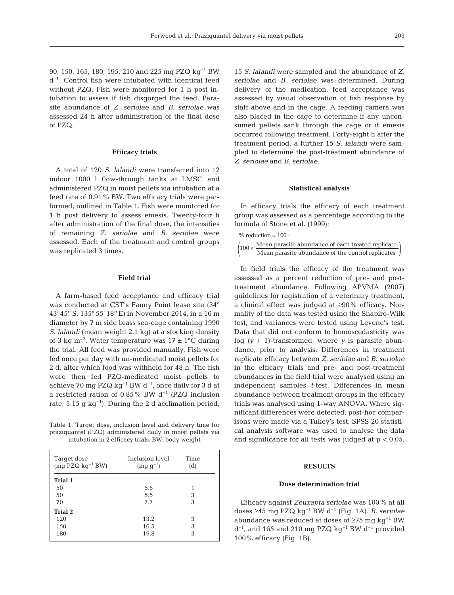90, 150, 165, 180, 195, 210 and 225 mg PZQ kg−1 BW d−1. Control fish were intubated with identical feed without PZQ. Fish were monitored for 1 h post intubation to assess if fish disgorged the feed. Parasite abundance of *Z. seriolae* and *B. seriolae* was assessed 24 h after administration of the final dose of PZQ.

#### **Efficacy trials**

A total of 120 *S. lalandi* were transferred into 12 indoor 1000 l flow-through tanks at LMSC and administered PZQ in moist pellets via intubation at a feed rate of 0.91% BW. Two efficacy trials were performed, outlined in Table 1. Fish were monitored for 1 h post delivery to assess emesis. Twenty-four h after administration of the final dose, the intensities of remaining *Z. seriolae* and *B. seriolae* were assessed. Each of the treatment and control groups was replicated 3 times.

## **Field trial**

A farm-based feed acceptance and efficacy trial was conducted at CST's Fanny Point lease site (34° 43' 45'' S, 135° 55' 18'' E) in November 2014, in a 16 m diameter by 7 m side brass sea-cage containing 1990 *S. lalandi* (mean weight 2.1 kg) at a stocking density of 3 kg m<sup>-3</sup>. Water temperature was  $17 \pm 1$ °C during the trial. All feed was provided manually. Fish were fed once per day with un-medicated moist pellets for 2 d, after which food was withheld for 48 h. The fish were then fed PZQ-medicated moist pellets to achieve 70 mg PZQ kg−1 BW d−1, once daily for 3 d at a restricted ration of 0.85% BW d−1 (PZQ inclusion rate: 5.15 g kg<sup>-1</sup>). During the 2 d acclimation period,

Table 1. Target dose, inclusion level and delivery time for praziquantel (PZQ) administered daily in moist pellets via intubation in 2 efficacy trials. BW: body weight

| Inclusion level<br>$(mg g^{-1})$ | Time<br>(d) |  |
|----------------------------------|-------------|--|
|                                  |             |  |
| 5.5                              | 1           |  |
| 5.5                              | 3           |  |
| 7.7                              | 3           |  |
|                                  |             |  |
| 13.2                             | 3           |  |
| 16.5                             | 3           |  |
| 19.8                             | 3           |  |
|                                  |             |  |

15 *S. lalandi* were sampled and the abundance of *Z. seriolae* and *B. seriolae* was determined. During delivery of the medication, feed acceptance was assessed by visual observation of fish response by staff above and in the cage. A feeding camera was also placed in the cage to determine if any unconsumed pellets sank through the cage or if emesis occurred following treatment. Forty-eight h after the treatment period, a further 15 *S. lalandi* were sampled to determine the post-treatment abundance of *Z. seriolae* and *B. seriolae*.

### **Statistical analysis**

In efficacy trials the efficacy of each treatment group was assessed as a percentage according to the formula of Stone et al. (1999):

 $%$  reduction =  $100-$ 

 $\left(100 \times \frac{\text{Mean parasite abundance of each treated replicate}}{\text{Mean parasite abundance of the control replicates}}\right)$ 

In field trials the efficacy of the treatment was assessed as a percent reduction of pre- and posttreatment abundance. Following APVMA (2007) guidelines for registration of a veterinary treatment, a clinical effect was judged at ≥90% efficacy. Normality of the data was tested using the Shapiro-Wilk test, and variances were tested using Levene's test. Data that did not conform to homoscedasticity was log  $(y + 1)$ -transformed, where *y* is parasite abundance, prior to analysis. Differences in treatment replicate efficacy between *Z. seriolae* and *B. seriolae* in the efficacy trials and pre- and post-treatment abundances in the field trial were analysed using an independent samples *t*-test. Differences in mean abundance between treatment groups in the efficacy trials was analysed using 1-way ANOVA. Where significant differences were detected, post-hoc comparisons were made via a Tukey's test. SPSS 20 statistical analysis software was used to analyse the data and significance for all tests was judged at  $p < 0.05$ .

# **RESULTS**

# **Dose determination trial**

Efficacy against *Zeuxapta seriolae* was 100% at all doses ≥45 mg PZQ kg−1 BW d−1 (Fig. 1A). *B. seriolae* abundance was reduced at doses of ≥75 mg kg−1 BW  $d^{-1}$ , and 165 and 210 mg PZQ kg<sup>-1</sup> BW  $d^{-1}$  provided 100% efficacy (Fig. 1B).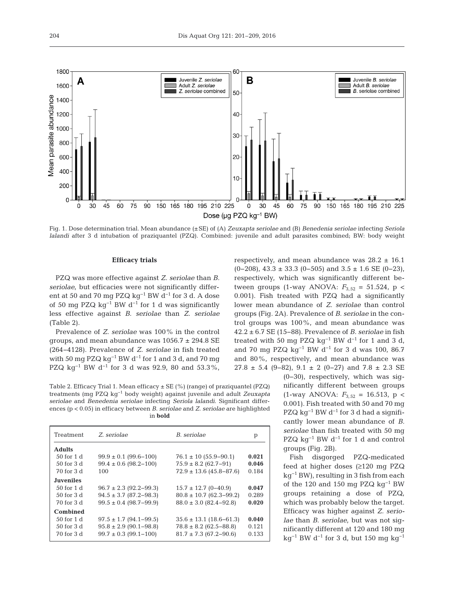

Fig. 1. Dose determination trial. Mean abundance (±SE) of (A) *Zeuxapta seriolae* and (B) *Benedenia seriolae* infecting *Seriola lalandi* after 3 d intubation of praziquantel (PZQ). Combined: juvenile and adult parasites combined; BW: body weight

#### **Efficacy trials**

PZQ was more effective against *Z. seriolae* than *B. seriolae*, but efficacies were not significantly different at 50 and 70 mg PZQ kg<sup>-1</sup> BW d<sup>-1</sup> for 3 d. A dose of 50 mg PZQ kg<sup>-1</sup> BW d<sup>-1</sup> for 1 d was significantly less effective against *B. seriolae* than *Z. seriolae* (Table 2).

Prevalence of *Z. seriolae* was 100% in the control groups, and mean abundance was  $1056.7 \pm 294.8$  SE (264−4128). Prevalence of *Z. seriolae* in fish treated with 50 mg PZQ kg<sup>-1</sup> BW d<sup>-1</sup> for 1 and 3 d, and 70 mg PZQ kg<sup>-1</sup> BW d<sup>-1</sup> for 3 d was 92.9, 80 and 53.3%,

Table 2. Efficacy Trial 1. Mean efficacy  $\pm$  SE (%) (range) of praziquantel (PZQ) treatments (mg PZQ kg−1 body weight) against juvenile and adult *Zeuxapta seriolae* and *Benedenia seriolae* infecting *Seriola lalandi*. Significant differences (p < 0.05) in efficacy between *B. seriolae* and *Z. seriolae* are highlighted in **bold**

| Treatment        | Z. seriolae                | B. seriolae                 | p     |
|------------------|----------------------------|-----------------------------|-------|
| <b>Adults</b>    |                            |                             |       |
| $50$ for 1 d     | $99.9 \pm 0.1$ (99.6-100)  | $76.1 \pm 10 (55.9 - 90.1)$ | 0.021 |
| $50$ for $3d$    | $99.4 \pm 0.6$ (98.2-100)  | $75.9 \pm 8.2$ (62.7-91)    | 0.046 |
| 70 for 3 d       | 100                        | $72.9 \pm 13.6$ (45.8–87.6) | 0.184 |
| <b>Juveniles</b> |                            |                             |       |
| $50$ for 1 d     | $96.7 \pm 2.3$ (92.2–99.3) | $15.7 \pm 12.7$ (0-40.9)    | 0.047 |
| $50$ for $3d$    | $94.5 \pm 3.7$ (87.2–98.3) | $80.8 \pm 10.7$ (62.3-99.2) | 0.289 |
| 70 for 3 d       | $99.5 \pm 0.4$ (98.7-99.9) | $88.0 \pm 3.0$ (82.4-92.8)  | 0.020 |
| Combined         |                            |                             |       |
| $50$ for 1 d     | $97.5 \pm 1.7$ (94.1-99.5) | $35.6 \pm 13.1$ (18.6–61.3) | 0.040 |
| $50$ for $3d$    | $95.8 \pm 2.9$ (90.1-98.8) | $78.8 \pm 8.2$ (62.5-88.8)  | 0.121 |
| 70 for 3 d       | $99.7 \pm 0.3$ (99.1-100)  | $81.7 \pm 7.3$ (67.2–90.6)  | 0.133 |
|                  |                            |                             |       |

respectively, and mean abundance was  $28.2 \pm 16.1$  $(0-208)$ , 43.3 ± 33.3 (0-505) and 3.5 ± 1.6 SE (0-23), respectively, which was significantly different be tween groups (1-way ANOVA:  $F_{3.52} = 51.524$ , p < 0.001). Fish treated with PZQ had a significantly lower mean abundance of *Z. seriolae* than control groups (Fig. 2A). Prevalence of *B. seriolae* in the control groups was 100%, and mean abundance was 42.2 ± 6.7 SE (15−88). Prevalence of *B. seriolae* in fish treated with 50 mg PZQ kg<sup>-1</sup> BW d<sup>-1</sup> for 1 and 3 d, and 70 mg PZQ kg<sup>-1</sup> BW d<sup>-1</sup> for 3 d was 100, 86.7 and 80%, respectively, and mean abundance was  $27.8 \pm 5.4$  (9-82),  $9.1 \pm 2$  (0-27) and  $7.8 \pm 2.3$  SE

> (0−30), respectively, which was significantly different between groups  $(1$ -way ANOVA:  $F_{3.52} = 16.513$ , p < 0.001). Fish treated with 50 and 70 mg PZQ  $kg^{-1}$  BW d<sup>-1</sup> for 3 d had a significantly lower mean abundance of *B. seriolae* than fish treated with 50 mg PZQ kg<sup>-1</sup> BW d<sup>-1</sup> for 1 d and control groups (Fig. 2B).

> Fish disgorged PZQ-medicated feed at higher doses (≥120 mg PZQ  $kq^{-1}$  BW), resulting in 3 fish from each of the 120 and 150 mg PZQ kg−1 BW groups retaining a dose of PZQ, which was probably below the target. Efficacy was higher against *Z. seriolae* than *B. seriolae*, but was not significantly different at 120 and 180 mg  $kg^{-1}$  BW d<sup>-1</sup> for 3 d, but 150 mg kg<sup>-1</sup>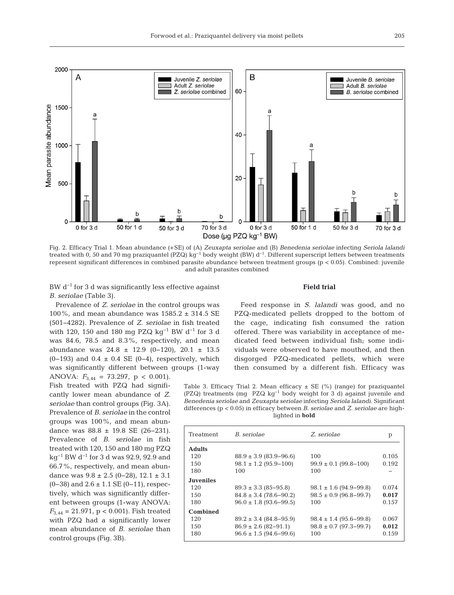

Fig. 2. Efficacy Trial 1. Mean abundance (+SE) of (A) *Zeuxapta seriolae* and (B) *Benedenia seriolae* infecting *Seriola lalandi* treated with 0, 50 and 70 mg praziquantel (PZQ) kg<sup>-1</sup> body weight (BW) d<sup>-1</sup>. Different superscript letters between treatments represent significant differences in combined parasite abundance between treatment groups ( $p < 0.05$ ). Combined: juvenile and adult parasites combined

BW d−1 for 3 d was significantly less effective against *B. seriolae* (Table 3).

## **Field trial**

Prevalence of *Z. seriolae* in the control groups was 100%, and mean abundance was  $1585.2 \pm 314.5$  SE (501−4282). Prevalence of *Z. seriolae* in fish treated with 120, 150 and 180 mg PZQ kg<sup>-1</sup> BW d<sup>-1</sup> for 3 d was 84.6, 78.5 and 8.3%, respectively, and mean abundance was 24.8 ± 12.9 (0−120), 20.1 ± 13.5 (0−193) and 0.4 ± 0.4 SE (0−4), respectively, which was significantly different between groups (1-way

ANOVA: *F*3,44 = 73.297, p < 0.001). Fish treated with PZQ had significantly lower mean abundance of *Z. seriolae* than control groups (Fig. 3A). Prevalence of *B. seriolae* in the control groups was 100%, and mean abundance was 88.8 ± 19.8 SE (26−231). Prevalence of *B. seriolae* in fish treated with 120, 150 and 180 mg PZQ kg−1 BW d−1 for 3 d was 92.9, 92.9 and 66.7%, respectively, and mean abundance was  $9.8 \pm 2.5$  (0–28),  $12.1 \pm 3.1$ (0–38) and  $2.6 \pm 1.1$  SE (0–11), respectively, which was significantly different between groups (1-way ANOVA:  $F_{3,44} = 21.971$ , p < 0.001). Fish treated with PZQ had a significantly lower mean abundance of *B. seriolae* than control groups (Fig. 3B).

Feed response in *S. lalandi* was good, and no PZQ-medicated pellets dropped to the bottom of the cage, indicating fish consumed the ration offered. There was variability in acceptance of me dicated feed between individual fish; some individuals were observed to have mouthed, and then disgorged PZQ-medicated pellets, which were then consumed by a different fish. Efficacy was

Table 3. Efficacy Trial 2. Mean efficacy  $\pm$  SE (%) (range) for praziquantel (PZQ) treatments (mg PZQ kg−1 body weight for 3 d) against juvenile and *Benedenia seriolae* and *Zeuxapta seriolae* infecting *Seriola lalandi*. Significant differences (p < 0.05) in efficacy between *B. seriolae* and *Z. seriolae* are highlighted in **bold**

| Treatment        | B. seriolae                  | Z. seriolae                | p     |
|------------------|------------------------------|----------------------------|-------|
| <b>Adults</b>    |                              |                            |       |
| 120              | $88.9 \pm 3.9$ (83.9–96.6)   | 100                        | 0.105 |
| 150              | $98.1 \pm 1.2$ (95.9-100)    | $99.9 \pm 0.1$ (99.8-100)  | 0.192 |
| 180              | 100                          | 100                        |       |
| <b>Juveniles</b> |                              |                            |       |
| 120              | $89.3 \pm 3.3$ (85-95.8)     | $98.1 \pm 1.6$ (94.9-99.8) | 0.074 |
| 150              | $84.8 \pm 3.4$ (78.6-90.2)   | $98.5 \pm 0.9$ (96.8–99.7) | 0.017 |
| 180              | $96.0 \pm 1.8$ (93.6-99.5)   | 100                        | 0.157 |
| Combined         |                              |                            |       |
| 120              | $89.2 \pm 3.4$ (84.8-95.9)   | $98.4 \pm 1.4$ (95.6–99.8) | 0.067 |
| 150              | $86.9 \pm 2.6$ (82-91.1)     | $98.8 \pm 0.7$ (97.3-99.7) | 0.012 |
| 180              | $96.6 \pm 1.5 (94.6 - 99.6)$ | 100                        | 0.159 |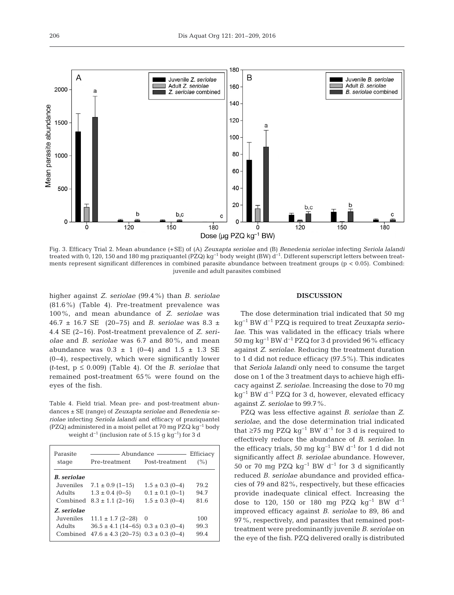

Fig. 3. Efficacy Trial 2. Mean abundance (+SE) of (A) *Zeuxapta seriolae* and (B) *Benedenia seriolae* infecting *Seriola lalandi* treated with 0, 120, 150 and 180 mg praziquantel (PZQ) kg−1 body weight (BW) d−1. Different superscript letters between treatments represent significant differences in combined parasite abundance between treatment groups ( $p < 0.05$ ). Combined: juvenile and adult parasites combined

higher against *Z. seriolae* (99.4%) than *B. seriolae* (81.6%) (Table 4). Pre-treatment prevalence was 100%, and mean abundance of *Z. seriolae* was 46.7 ± 16.7 SE (20−75) and *B. seriolae* was 8.3 ± 4.4 SE (2−16). Post-treatment prevalence of *Z. seriolae* and *B. seriolae* was 6.7 and 80%, and mean abundance was  $0.3 \pm 1$  (0−4) and  $1.5 \pm 1.3$  SE (0−4), respectively, which were significantly lower *(t*-test,  $p \le 0.009$ *)* (Table 4). Of the *B. seriolae* that remained post-treatment 65% were found on the eyes of the fish.

Table 4. Field trial. Mean pre- and post-treatment abundances ± SE (range) of *Zeuxapta seriolae* and *Benedenia seriolae* infecting *Seriola lalandi* and efficacy of praziquantel (PZQ) administered in a moist pellet at 70 mg PZQ kg−1 body weight d<sup>-1</sup> (inclusion rate of 5.15 g kg<sup>-1</sup>) for 3 d

| Parasite<br>stage                                     | Abundance<br>Pre-treatment                                                                                        | Post-treatment                                                    | Efficiacy<br>(%)     |
|-------------------------------------------------------|-------------------------------------------------------------------------------------------------------------------|-------------------------------------------------------------------|----------------------|
| <b>B.</b> seriolae<br>Juveniles<br>Adults<br>Combined | $7.1 \pm 0.9$ (1-15)<br>$1.3 \pm 0.4$ (0-5)<br>$8.3 \pm 1.1$ (2-16)                                               | $1.5 \pm 0.3$ (0-4)<br>$0.1 \pm 0.1$ (0-1)<br>$1.5 \pm 0.3$ (0-4) | 79.2<br>94.7<br>81.6 |
| Z. seriolae<br>Juveniles<br>Adults<br>Combined        | $11.1 \pm 1.7$ (2-28)<br>$36.5 \pm 4.1$ (14-65) $0.3 \pm 0.3$ (0-4)<br>$47.6 \pm 4.3$ (20-75) $0.3 \pm 0.3$ (0-4) | - ()                                                              | 100<br>99.3<br>99.4  |

### **DISCUSSION**

The dose determination trial indicated that 50 mg kg−1 BW d−1 PZQ is required to treat *Zeuxapta seriolae*. This was validated in the efficacy trials where 50 mg kg<sup>-1</sup> BW d<sup>-1</sup> PZQ for 3 d provided 96% efficacy against *Z. seriolae*. Reducing the treatment duration to 1 d did not reduce efficacy (97.5%). This indicates that *Seriola lalandi* only need to consume the target dose on 1 of the 3 treatment days to achieve high efficacy against *Z. seriolae*. Increasing the dose to 70 mg kg−1 BW d−1 PZQ for 3 d, however, elevated efficacy against *Z. seriolae* to 99.7%.

PZQ was less effective against *B. seriolae* than *Z. seriolae*, and the dose determination trial indicated that ≥75 mg PZQ kg<sup>-1</sup> BW d<sup>-1</sup> for 3 d is required to effectively reduce the abundance of *B. seriolae*. In the efficacy trials, 50 mg kg<sup>-1</sup> BW d<sup>-1</sup> for 1 d did not significantly affect *B. seriolae* abundance. However, 50 or 70 mg PZQ kg<sup>-1</sup> BW d<sup>-1</sup> for 3 d significantly reduced *B. seriolae* abundance and provided efficacies of 79 and 82%, respectively, but these efficacies provide inadequate clinical effect. Increasing the dose to 120, 150 or 180 mg PZQ kg<sup>-1</sup> BW d<sup>-1</sup> improved efficacy against *B. seriolae* to 89, 86 and 97%, respectively, and parasites that remained posttreatment were predominantly juvenile *B. seriolae* on the eye of the fish. PZQ delivered orally is distributed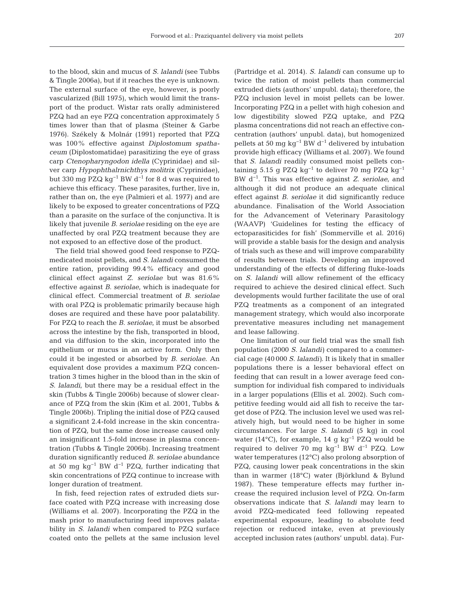to the blood, skin and mucus of *S. lalandi* (see Tubbs & Tingle 2006a), but if it reaches the eye is unknown. The external surface of the eye, however, is poorly vascularized (Bill 1975), which would limit the transport of the product. Wistar rats orally administered PZQ had an eye PZQ concentration approximately 5 times lower than that of plasma (Steiner & Garbe 1976). Székely & Molnár (1991) reported that PZQ was 100% effective against *Diplostomum spatha ceum* (Diplostomatidae) parasitizing the eye of grass carp *Ctenopharyngodon idella* (Cyprinidae) and silver carp *Hypophthalrnichthys molitrix* (Cyprinidae), but 330 mg PZQ kg−1 BW d−1 for 8 d was required to achieve this efficacy. These parasites, further, live in, rather than on, the eye (Palmieri et al. 1977) and are likely to be exposed to greater concentrations of PZQ than a parasite on the surface of the conjunctiva. It is likely that juvenile *B. seriolae* residing on the eye are unaffected by oral PZQ treatment because they are not exposed to an effective dose of the product.

The field trial showed good feed response to PZQmedicated moist pellets, and *S. lalandi* consumed the entire ration, providing 99.4% efficacy and good clinical effect against *Z. seriolae* but was 81.6% effective against *B. seriolae*, which is inadequate for clinical effect. Commercial treatment of *B. seriolae* with oral PZQ is problematic primarily because high doses are required and these have poor palatability. For PZQ to reach the *B. seriolae*, it must be absorbed across the intestine by the fish, transported in blood, and via diffusion to the skin, incorporated into the epithelium or mucus in an active form. Only then could it be ingested or absorbed by *B. seriolae*. An equivalent dose provides a maximum PZQ concentration 3 times higher in the blood than in the skin of *S. lalandi*, but there may be a residual effect in the skin (Tubbs & Tingle 2006b) because of slower clearance of PZQ from the skin (Kim et al. 2001, Tubbs & Tingle 2006b). Tripling the initial dose of PZQ caused a significant 2.4-fold increase in the skin concentration of PZQ, but the same dose increase caused only an insignificant 1.5-fold increase in plasma concentration (Tubbs & Tingle 2006b). Increasing treatment duration significantly reduced *B. seriolae* abundance at 50 mg kg<sup>-1</sup> BW d<sup>-1</sup> PZQ, further indicating that skin concentrations of PZQ continue to increase with longer duration of treatment.

In fish, feed rejection rates of extruded diets surface coated with PZQ increase with increasing dose (Williams et al. 2007). Incorporating the PZQ in the mash prior to manufacturing feed improves palatability in *S. lalandi* when compared to PZQ surface coated onto the pellets at the same inclusion level (Partridge et al. 2014). *S. lalandi* can consume up to twice the ration of moist pellets than commercial extruded diets (authors' unpubl. data); therefore, the PZQ inclusion level in moist pellets can be lower. Incorporating PZQ in a pellet with high cohesion and low digestibility slowed PZQ uptake, and PZQ plasma concentrations did not reach an effective concentration (authors' unpubl. data), but homogenized pellets at 50 mg kg<sup>-1</sup> BW d<sup>-1</sup> delivered by intubation provide high efficacy (Williams et al. 2007). We found that *S. lalandi* readily consumed moist pellets containing 5.15 g PZQ kg<sup>-1</sup> to deliver 70 mg PZQ kg<sup>-1</sup> BW d−1. This was effective against *Z. seriolae*, and although it did not produce an adequate clinical effect against *B. seriolae* it did significantly reduce abundance. Finalisation of the World Association for the Advancement of Veterinary Parasitology (WAAVP) 'Guidelines for testing the efficacy of ectoparasiticides for fish' (Sommerville et al. 2016) will provide a stable basis for the design and analysis of trials such as these and will improve comparability of results between trials. Developing an improved understanding of the effects of differing fluke-loads on *S. lalandi* will allow refinement of the efficacy required to achieve the desired clinical effect. Such developments would further facilitate the use of oral PZQ treatments as a component of an integrated management strategy, which would also incorporate preventative measures including net management and lease fallowing.

One limitation of our field trial was the small fish population (2000 *S. lalandi)* compared to a commercial cage (40 000 *S. lalandi)*. It is likely that in smaller populations there is a lesser behavioral effect on feeding that can result in a lower average feed consumption for individual fish compared to individuals in a larger populations (Ellis et al. 2002). Such competitive feeding would aid all fish to receive the target dose of PZQ. The inclusion level we used was relatively high, but would need to be higher in some circumstances. For large *S. lalandi* (5 kg) in cool water (14 $^{\circ}$ C), for example, 14 g kg<sup>-1</sup> PZQ would be required to deliver 70 mg kg−1 BW d−1 PZQ. Low water temperatures (12°C) also prolong absorption of PZQ, causing lower peak concentrations in the skin than in warmer (18°C) water (Björklund & Bylund 1987). These temperature effects may further increase the required inclusion level of PZQ. On-farm observations indicate that *S. lalandi* may learn to avoid PZQ-medicated feed following repeated experimental exposure, leading to absolute feed rejection or reduced intake, even at previously accepted inclusion rates (authors' unpubl. data). Fur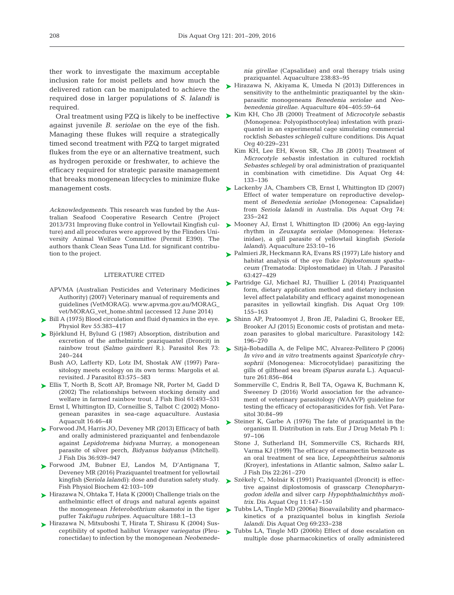ther work to investigate the maximum acceptable inclusion rate for moist pellets and how much the delivered ration can be manipulated to achieve the required dose in larger populations of *S. lalandi* is required.

against juvenile *B. seriolae* on the eye of the fish. Managing these flukes will require a strategically timed second treatment with PZQ to target migrated flukes from the eye or an alternative treatment, such as hydrogen peroxide or freshwater, to achieve the efficacy required for strategic parasite management that breaks monogenean lifecycles to minimize fluke management costs.

*Acknowledgements*. This research was funded by the Australian Seafood Cooperative Research Centre (Project 2013/731 Improving fluke control in Yellowtail Kingfish culture) and all procedures were approved by the Flinders University Animal Welfare Committee (Permit E390). The authors thank Clean Seas Tuna Ltd. for significant contribution to the project.

## LITERATURE CITED

- APVMA (Australian Pesticides and Veterinary Medicines Authority) (2007) Veterinary manual of requirements and guidelines (VetMORAG). www.apvma.gov.au/MORAG\_ vet/MORAG\_vet\_home.shtml (accessed 12 June 2014)
- ► [Bill A \(1975\) Blood circulation and fluid dynamics in the eye.](http://www.ncbi.nlm.nih.gov/entrez/query.fcgi?cmd=Retrieve&db=PubMed&list_uids=1153528&dopt=Abstract) ► [Shinn AP, Pratoomyot J, Bron JE, Paladini G, Brooker EE,](http://dx.doi.org/10.1017/S0031182014001437) Physiol Rev 55: 383−417
- [Björklund H, Bylund G \(1987\) Absorption, distribution and](http://dx.doi.org/10.1007/BF00578511) ➤ excretion of the anthelmintic praziquantel (Droncit) in rainbow trout *(Salmo gairdneri* R.). Parasitol Res 73: 240−244
	- Bush AO, Lafferty KD, Lotz IM, Shostak AW (1997) Parasitology meets ecology on its own terms: Margolis et al. revisited. J Parasitol 83:575-583
- ► [Ellis T, North B, Scott AP, Bromage NR, Porter M, Gadd D](http://dx.doi.org/10.1111/j.1095-8649.2002.tb00893.x) (2002) The relationships between stocking density and welfare in farmed rainbow trout. J Fish Biol 61:493-531
	- Ernst I, Whittington ID, Corneillie S, Talbot C (2002) Monogenean parasites in sea-cage aquaculture. Austasia Aquacult 16:46-48
- ► [Forwood JM, Harris JO, Deveney MR \(2013\) Efficacy of bath](http://www.ncbi.nlm.nih.gov/entrez/query.fcgi?cmd=Retrieve&db=PubMed&list_uids=23488766&dopt=Abstract) and orally administered praziquantel and fenbendazole against *Lepidotrema bidyana* Murray, a monogenean parasite of silver perch, *Bidyanus bidyanus* (Mitchell). J Fish Dis 36: 939−947
- [Forwood JM, Bubner EJ, Landos M, D'Antignana T,](http://dx.doi.org/10.1007/s10695-015-0121-2) ➤ Deveney MR (2016) Praziquantel treatment for yellowtail kingfish *(Seriola lalandi)*: dose and duration safety study. Fish Physiol Biochem 42: 103−109
- ► [Hirazawa N, Ohtaka T, Hata K \(2000\) Challenge trials on the](http://dx.doi.org/10.1016/S0044-8486(00)00334-3) anthelmintic effect of drugs and natural agents against the monogenean *Heterobothrium okamotoi* in the tiger puffer *Takifugu rubripes.* Aquaculture 188: 1−13
- ► [Hirazawa N, Mitsuboshi T, Hirata T, Shirasu K \(2004\) Sus](http://dx.doi.org/10.1016/j.aquaculture.2004.05.015)ceptibility of spotted halibut *Verasper variegatus* (Pleuronectidae) to infection by the monogenean *Neobenede-*

*nia girellae* (Capsalidae) and oral therapy trials using praziquantel. Aquaculture 238:83-95

- ► [Hirazawa N, Akiyama K, Umeda N \(2013\) Differences in](http://dx.doi.org/10.1016/j.aquaculture.2013.04.021) sensitivity to the anthelmintic praziquantel by the skinparasitic monogeneans *Benedenia seriolae* and *Neo benedenia girellae.* Aquaculture 404−405: 59−64
- Oral treatment using PZQ is likely to be ineffective [Kim KH, Cho JB \(2000\) Treatment of](http://dx.doi.org/10.3354/dao040229) *Microcotyle sebastis* ➤ (Monogenea: Polyopisthocotylea) infestation with praziquantel in an experimental cage simulating commercial rockfish *Sebastes schlegeli* culture conditions. Dis Aquat Org 40: 229−231
	- Kim KH, Lee EH, Kwon SR, Cho JB (2001) Treatment of *Microcotyle sebastis* infestation in cultured rockfish *Sebastes schlegeli* by oral administration of praziquantel in combination with cimetidine. Dis Aquat Org 44: 133–136
	- ► [Lackenby JA, Chambers CB, Ernst I, Whittington ID \(2007\)](http://dx.doi.org/10.3354/dao074235) Effect of water temperature on reproductive development of *Benedenia seriolae* (Monogenea: Capsalidae) from *Seriola lalandi* in Australia. Dis Aquat Org 74: 235−242
	- ► [Mooney AJ, Ernst I, Whittington ID \(2006\) An egg-laying](http://dx.doi.org/10.1016/j.aquaculture.2004.11.029) rhythm in *Zeuxapta seriolae* (Monogenea: Heteraxinidae), a gill parasite of yellowtail kingfish *(Seriola lalandi)*. Aquaculture 253: 10−16
	- [Palmieri JR, Heckmann RA, Evans RS \(1977\) Life history and](http://dx.doi.org/10.2307/3279992) ➤ habitat analysis of the eye fluke *Diplostomum spatha ceum* (Trematoda: Diplostomatidae) in Utah. J Parasitol 63: 427−429
	- [Partridge GJ, Michael RJ, Thuillier L \(2014\) Praziquantel](http://dx.doi.org/10.3354/dao02740) ➤ form, dietary application method and dietary inclusion level affect palatability and efficacy against monogenean parasites in yellowtail kingfish. Dis Aquat Org 109: 155−163
	- Brooker AJ (2015) Economic costs of protistan and metazoan parasites to global mariculture. Parasitology 142: 196−270
	- [Sitjà-Bobadilla A, de Felipe MC, Alvarez-Pellitero P \(2006\)](http://dx.doi.org/10.1016/j.aquaculture.2006.09.012) ➤ *In vivo* and *in vitro* treatments against *Sparicotyle chry*  sophrii (Monogenea: Microcotylidae) parasitizing the gills of gilthead sea bream *(Sparus aurata* L.). Aquaculture 261: 856−864
		- Sommerville C, Endris R, Bell TA, Ogawa K, Buchmann K, Sweeney D (2016) World association for the advancement of veterinary parasitology (WAAVP) guideline for testing the efficacy of ectoparasiticides for fish. Vet Parasitol 30:84-99
	- ▶ [Steiner K, Garbe A \(1976\) The fate of praziquantel in the](http://dx.doi.org/10.1007/BF03189263) organism II. Distribution in rats. Eur J Drug Metab Ph 1: 97−106
		- Stone J, Sutherland IH, Sommerville CS, Richards RH, Varma KJ (1999) The efficacy of emamectin benzoate as an oral treatment of sea lice, *Lepeophtheirus salmonis* (Kroyer), infestations in Atlantic salmon, *Salmo salar* L. J Fish Dis 22: 261–270
	- ► [Székely C, Molnár K \(1991\) Praziquantel \(Droncit\) is effec](http://dx.doi.org/10.3354/dao011147)tive against diplostomosis of grasscarp *Ctenopharyngodon idella* and silver carp *Hypophthalmichthys moli trix.* Dis Aquat Org 11: 147−150
	- [Tubbs LA, Tingle MD \(2006a\) Bioavailability and pharmaco-](http://dx.doi.org/10.3354/dao069233)➤ kinetics of a praziquantel bolus in kingfish *Seriola lalandi.* Dis Aquat Org 69:233-238
	- ▶ [Tubbs LA, Tingle MD \(2006b\) Effect of dose escalation on](http://dx.doi.org/10.1016/j.aquaculture.2006.09.013) multiple dose pharmacokinetics of orally administered